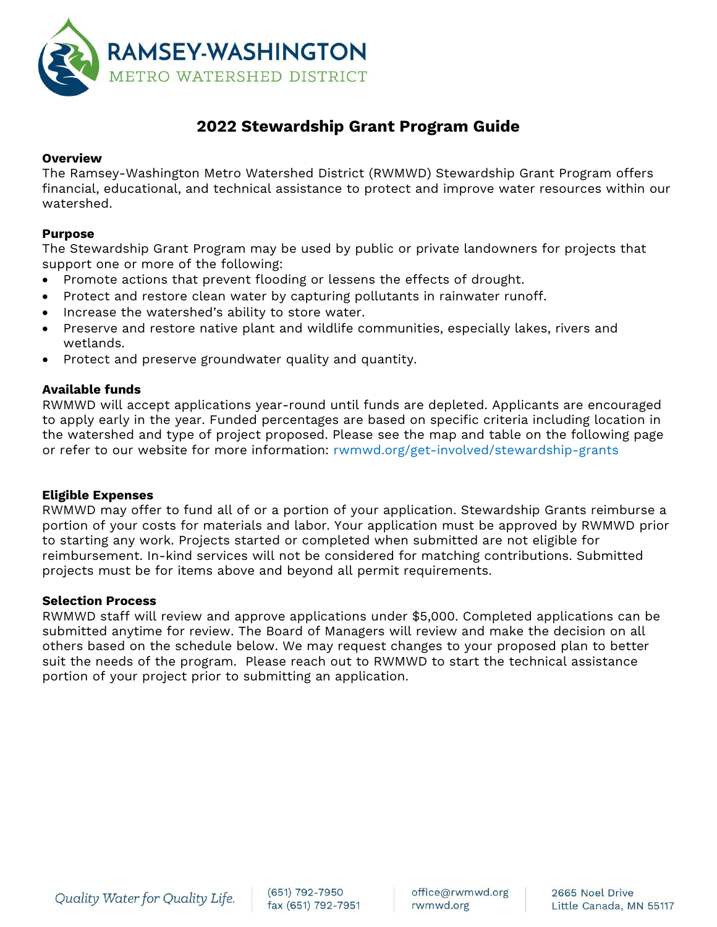

# **2022 Stewardship Grant Program Guide**

## **Overview**

The Ramsey-Washington Metro Watershed District (RWMWD) Stewardship Grant Program offers financial, educational, and technical assistance to protect and improve water resources within our watershed.

## **Purpose**

The Stewardship Grant Program may be used by public or private landowners for projects that support one or more of the following:

- Promote actions that prevent flooding or lessens the effects of drought.
- Protect and restore clean water by capturing pollutants in rainwater runoff.
- Increase the watershed's ability to store water.
- Preserve and restore native plant and wildlife communities, especially lakes, rivers and wetlands.
- Protect and preserve groundwater quality and quantity.

## **Available funds**

RWMWD will accept applications year-round until funds are depleted. Applicants are encouraged to apply early in the year. Funded percentages are based on specific criteria including location in the watershed and type of project proposed. Please see the map and table on the following page or refer to our website for more information: [rwmwd.org/get-involved/stewardship-grants](http://www.rwmwd.org/get-involved/stewardship-grants)

### **Eligible Expenses**

RWMWD may offer to fund all of or a portion of your application. Stewardship Grants reimburse a portion of your costs for materials and labor. Your application must be approved by RWMWD prior to starting any work. Projects started or completed when submitted are not eligible for reimbursement. In-kind services will not be considered for matching contributions. Submitted projects must be for items above and beyond all permit requirements.

### **Selection Process**

RWMWD staff will review and approve applications under \$5,000. Completed applications can be submitted anytime for review. The Board of Managers will review and make the decision on all others based on the schedule below. We may request changes to your proposed plan to better suit the needs of the program. Please reach out to RWMWD to start the technical assistance portion of your project prior to submitting an application.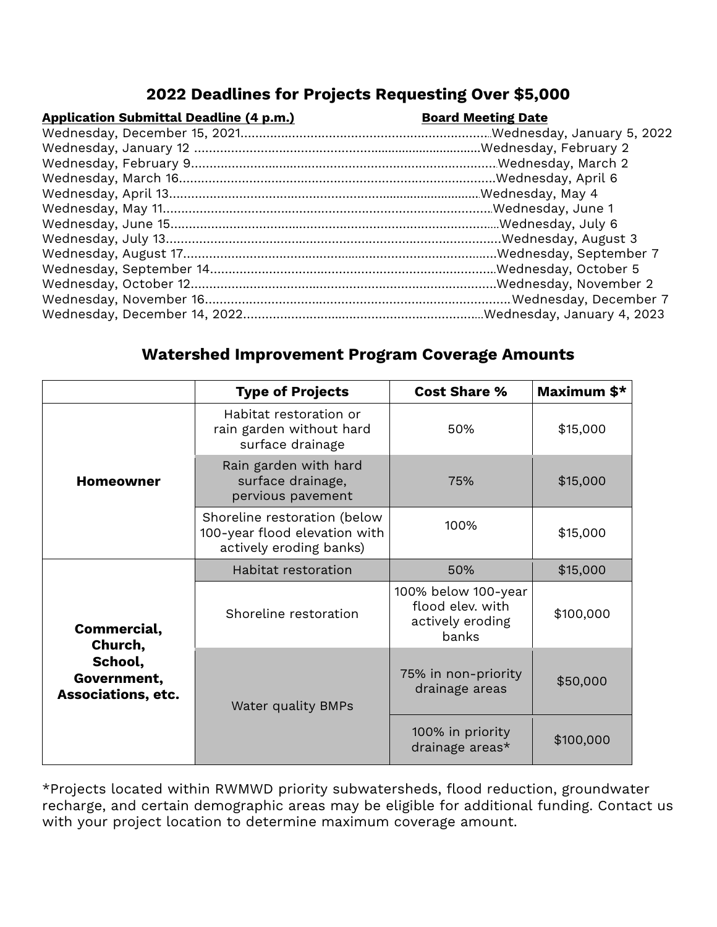## **2022 Deadlines for Projects Requesting Over \$5,000**

| <b>Application Submittal Deadline (4 p.m.)</b> |  |  |  |
|------------------------------------------------|--|--|--|
|                                                |  |  |  |

## **Board Meeting Date**

## **Watershed Improvement Program Coverage Amounts**

|                                                                               | <b>Type of Projects</b>                                                                  | <b>Cost Share %</b>                                                  | Maximum \$* |  |
|-------------------------------------------------------------------------------|------------------------------------------------------------------------------------------|----------------------------------------------------------------------|-------------|--|
| <b>Homeowner</b>                                                              | Habitat restoration or<br>rain garden without hard<br>surface drainage                   | 50%                                                                  | \$15,000    |  |
|                                                                               | Rain garden with hard<br>surface drainage,<br>pervious pavement                          | 75%                                                                  | \$15,000    |  |
|                                                                               | Shoreline restoration (below<br>100-year flood elevation with<br>actively eroding banks) | 100%                                                                 | \$15,000    |  |
| Commercial,<br>Church,<br>School,<br>Government,<br><b>Associations, etc.</b> | Habitat restoration                                                                      | 50%                                                                  | \$15,000    |  |
|                                                                               | Shoreline restoration                                                                    | 100% below 100-year<br>flood elev. with<br>actively eroding<br>banks | \$100,000   |  |
|                                                                               | Water quality BMPs                                                                       | 75% in non-priority<br>drainage areas                                | \$50,000    |  |
|                                                                               |                                                                                          | 100% in priority<br>drainage areas*                                  | \$100,000   |  |

\*Projects located within RWMWD priority subwatersheds, flood reduction, groundwater recharge, and certain demographic areas may be eligible for additional funding. Contact us with your project location to determine maximum coverage amount.